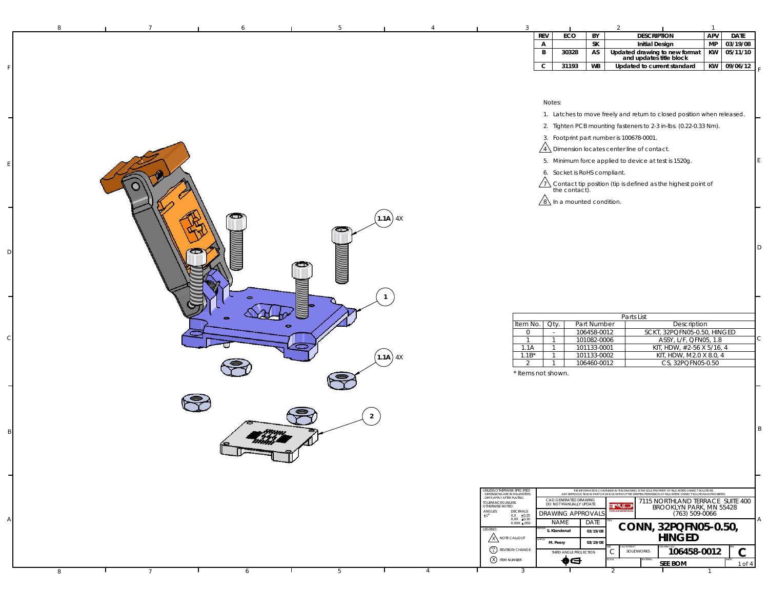| 8 | 6                   |                |             |                |                                                               |                                      |                                                 |                            |                                                                                                                                                                                                                | $\overline{1}$  |                      |
|---|---------------------|----------------|-------------|----------------|---------------------------------------------------------------|--------------------------------------|-------------------------------------------------|----------------------------|----------------------------------------------------------------------------------------------------------------------------------------------------------------------------------------------------------------|-----------------|----------------------|
|   |                     |                |             |                |                                                               | <b>REV</b>                           | ECO                                             | BY                         | <b>DESCRIPTION</b>                                                                                                                                                                                             | APV             | <b>DATE</b>          |
|   |                     |                |             |                |                                                               | $\mathsf{A}$<br>B                    | 30328                                           | SK<br>AS                   | <b>Initial Design</b>                                                                                                                                                                                          | <b>MP</b><br>KW | 03/19/08<br>05/11/10 |
|   |                     |                |             |                |                                                               |                                      |                                                 |                            | Updated drawing to new format<br>and updates title block                                                                                                                                                       |                 |                      |
|   |                     |                |             |                |                                                               | $\mathsf{C}$                         | 31193                                           | <b>WB</b>                  | Updated to current standard                                                                                                                                                                                    |                 | KW 09/06/12          |
|   |                     |                |             |                |                                                               |                                      |                                                 |                            |                                                                                                                                                                                                                |                 |                      |
|   |                     |                |             |                |                                                               |                                      |                                                 |                            |                                                                                                                                                                                                                |                 |                      |
|   |                     |                |             |                |                                                               | Notes:                               |                                                 |                            |                                                                                                                                                                                                                |                 |                      |
|   |                     |                |             |                |                                                               |                                      |                                                 |                            | 1. Latches to move freely and return to closed position when released.                                                                                                                                         |                 |                      |
|   |                     |                |             |                |                                                               |                                      |                                                 |                            | 2. Tighten PCB mounting fasteners to 2-3 in-lbs. (0.22-0.33 Nm).                                                                                                                                               |                 |                      |
|   |                     |                |             |                |                                                               |                                      |                                                 |                            | 3. Footprint part number is 100678-0001.                                                                                                                                                                       |                 |                      |
|   |                     |                |             |                |                                                               |                                      |                                                 |                            | $\sqrt{4}$ Dimension locates center line of contact.                                                                                                                                                           |                 |                      |
|   |                     |                |             |                |                                                               |                                      |                                                 |                            |                                                                                                                                                                                                                |                 |                      |
|   |                     |                |             |                |                                                               |                                      |                                                 |                            | 5. Minimum force applied to device at test is 1520g.                                                                                                                                                           |                 |                      |
|   |                     |                |             |                |                                                               |                                      | 6. Socket is RoHS compliant.                    |                            |                                                                                                                                                                                                                |                 |                      |
|   |                     |                |             |                |                                                               |                                      |                                                 |                            | $\sqrt{7}$ Contact tip position (tip is defined as the highest point of the contact).                                                                                                                          |                 |                      |
|   |                     |                |             |                |                                                               | $\sqrt{8}$ In a mounted condition.   |                                                 |                            |                                                                                                                                                                                                                |                 |                      |
|   |                     |                |             |                |                                                               |                                      |                                                 |                            |                                                                                                                                                                                                                |                 |                      |
|   |                     |                | $(1.1A)$ 4X |                |                                                               |                                      |                                                 |                            |                                                                                                                                                                                                                |                 |                      |
|   |                     | حت             |             |                |                                                               |                                      |                                                 |                            |                                                                                                                                                                                                                |                 |                      |
|   |                     |                |             |                |                                                               |                                      |                                                 |                            |                                                                                                                                                                                                                |                 |                      |
|   |                     |                |             |                |                                                               |                                      |                                                 |                            |                                                                                                                                                                                                                |                 | ID                   |
|   |                     |                |             |                |                                                               |                                      |                                                 |                            |                                                                                                                                                                                                                |                 |                      |
|   |                     |                |             |                |                                                               |                                      |                                                 |                            |                                                                                                                                                                                                                |                 |                      |
|   |                     |                |             |                |                                                               |                                      |                                                 |                            |                                                                                                                                                                                                                |                 |                      |
|   |                     |                |             |                |                                                               |                                      |                                                 |                            |                                                                                                                                                                                                                |                 |                      |
|   |                     |                |             |                |                                                               |                                      |                                                 |                            |                                                                                                                                                                                                                |                 |                      |
|   |                     |                |             |                |                                                               |                                      |                                                 |                            | Parts List                                                                                                                                                                                                     |                 |                      |
|   |                     |                |             |                | Item No.                                                      | Oty.                                 |                                                 | Part Number                | Description                                                                                                                                                                                                    |                 |                      |
|   |                     |                |             |                | $\mathbf 0$<br>$\mathbf{1}$                                   | $\sim$<br>$\overline{1}$             |                                                 | 106458-0012<br>101082-0006 | SCKT, 32PQFN05-0.50, HINGED<br>ASSY, L/F, QFN05, 1.8                                                                                                                                                           |                 |                      |
|   |                     |                |             |                | 1.1A                                                          | $\mathbf{1}$                         |                                                 | 101133-0001                | KIT, HDW, #2-56 X 5/16, 4                                                                                                                                                                                      |                 |                      |
|   |                     |                | $(1.1A)$ 4X |                | $1.1B*$                                                       | $\overline{1}$                       |                                                 | 101133-0002                | KIT, HDW, M2.0 X 8.0, 4                                                                                                                                                                                        |                 |                      |
|   |                     |                |             |                | 2                                                             | $\overline{1}$<br>* Items not shown. |                                                 | 106460-0012                | CS, 32PQFN05-0.50                                                                                                                                                                                              |                 |                      |
|   |                     |                |             |                |                                                               |                                      |                                                 |                            |                                                                                                                                                                                                                |                 |                      |
|   |                     |                |             |                |                                                               |                                      |                                                 |                            |                                                                                                                                                                                                                |                 |                      |
|   |                     |                |             |                |                                                               |                                      |                                                 |                            |                                                                                                                                                                                                                |                 |                      |
|   |                     | $\overline{2}$ |             |                |                                                               |                                      |                                                 |                            |                                                                                                                                                                                                                |                 |                      |
|   |                     |                |             |                |                                                               |                                      |                                                 |                            |                                                                                                                                                                                                                |                 |                      |
|   |                     |                |             |                |                                                               |                                      |                                                 |                            |                                                                                                                                                                                                                |                 | l B                  |
|   |                     |                |             |                |                                                               |                                      |                                                 |                            |                                                                                                                                                                                                                |                 |                      |
|   |                     |                |             |                |                                                               |                                      |                                                 |                            |                                                                                                                                                                                                                |                 |                      |
|   |                     |                |             |                |                                                               |                                      |                                                 |                            |                                                                                                                                                                                                                |                 |                      |
|   |                     |                |             |                |                                                               |                                      |                                                 |                            |                                                                                                                                                                                                                |                 |                      |
|   |                     |                |             |                | UNLESS OTHERWISE SPECIFIED<br>- DIMENSIONS ARE IN MILLIMETERS |                                      |                                                 |                            | THE INFORMATION CONTAINED IN THIS DRAWING IS THE SOLE PROPERTY OF R&D INTERCONNECT SOLUTIONS.<br>ANY REPRODUCTION IN PART OR WHOLE WITHOUT THE WRITTEN PERMISSION OF R&D INTERCONNECT SOLUTIONS IS PROHIBITED. |                 |                      |
|   |                     |                |             |                | DIMS APPLY AFTER PLATING<br>TOLERANCES UNLESS                 |                                      | CAD GENERATED DRAWING<br>DO NOT MANUALLY UPDATE |                            | 7115 NORTHLAND TERRACE SUITE 400                                                                                                                                                                               |                 |                      |
|   |                     |                |             |                | OTHERWISE NOTED:<br>$ANGLES$<br>$\pm 1$<br>DECIMALS           |                                      | <b>DRAWING APPROVAL:</b>                        |                            | rqu<br>BROOKLYN PARK, MN 55428<br>(763) 509-0066                                                                                                                                                               |                 |                      |
|   |                     |                |             |                | $XX = \pm 0.25$<br>$XXX = 0.10$<br>XXXX ±.050                 | NAME                                 |                                                 | DATE                       |                                                                                                                                                                                                                |                 |                      |
|   |                     |                |             |                | LEGEND:                                                       | S. Klanderud                         |                                                 | 03/19/08                   | CONN, 32PQFN05-0.50,                                                                                                                                                                                           |                 |                      |
|   |                     |                |             |                | <b>X</b> NOTE CALLOUT                                         | M. Peery                             |                                                 | 03/19/08                   | <b>HINGED</b>                                                                                                                                                                                                  |                 |                      |
|   |                     |                |             |                | $\binom{01}{1}$ REVISION CHANGE                               |                                      | THIRD ANGLE PROJECTION                          |                            | 106458-0012<br>C<br>SOLIDWORKS                                                                                                                                                                                 |                 | $\mathbf C$          |
|   |                     |                |             |                | <b>8</b> ITEM NUMBER                                          |                                      | ♦⋳                                              |                            | <b>SEE BOM</b>                                                                                                                                                                                                 |                 | 1 of 4               |
| 8 | $\overline{7}$<br>6 | 5              |             | $\overline{4}$ | 3                                                             |                                      |                                                 |                            | $\blacksquare$<br>$\mathcal{P}$                                                                                                                                                                                | $\mathbf{1}$    |                      |

F

E

D

C

B

A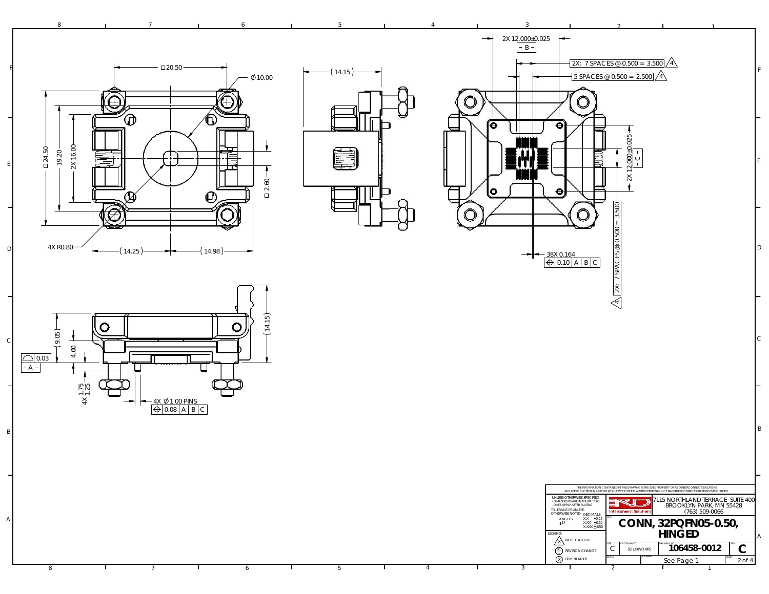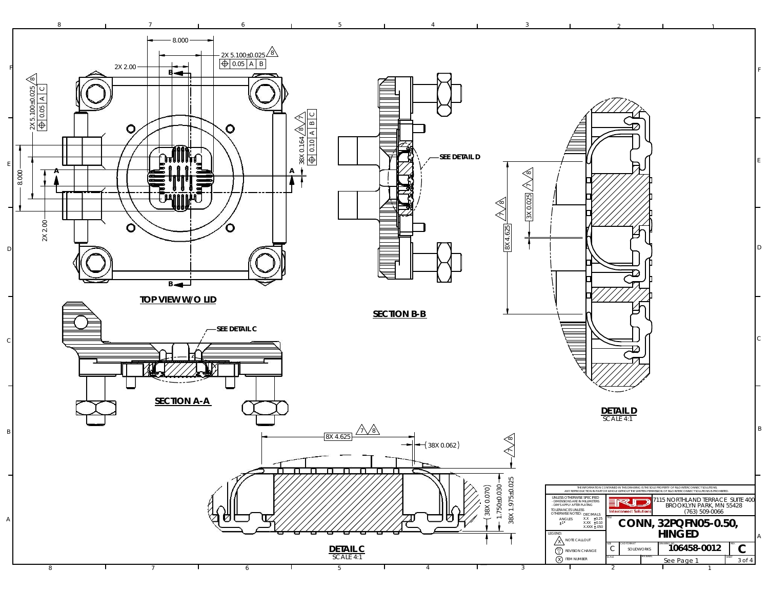